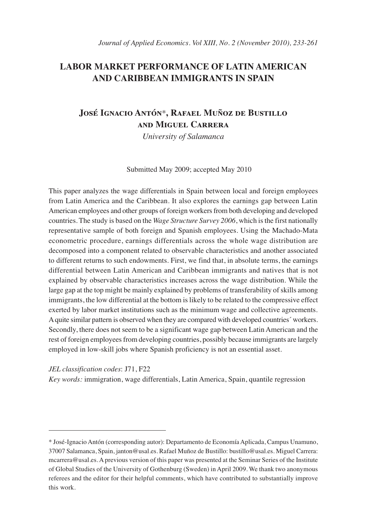## **LABOR MARKET PERFORMANCE OF LATIN AMERICAN AND CARIBBEAN IMMIGRANTS IN SPAIN**

## **José Ignacio Antón**\***, Rafael Muñoz de Bustillo and Miguel Carrera**

*University of Salamanca*

Submitted May 2009; accepted May 2010

This paper analyzes the wage differentials in Spain between local and foreign employees from Latin America and the Caribbean. It also explores the earnings gap between Latin American employees and other groups of foreign workers from both developing and developed countries. The study is based on the *Wage Structure Survey 2006*, which is the first nationally representative sample of both foreign and Spanish employees. Using the Machado-Mata econometric procedure, earnings differentials across the whole wage distribution are decomposed into a component related to observable characteristics and another associated to different returns to such endowments. First, we find that, in absolute terms, the earnings differential between Latin American and Caribbean immigrants and natives that is not explained by observable characteristics increases across the wage distribution. While the large gap at the top might be mainly explained by problems of transferability of skills among immigrants, the low differential at the bottom is likely to be related to the compressive effect exerted by labor market institutions such as the minimum wage and collective agreements. A quite similar pattern is observed when they are compared with developed countries´ workers. Secondly, there does not seem to be a significant wage gap between Latin American and the rest of foreign employees from developing countries, possibly because immigrants are largely employed in low-skill jobs where Spanish proficiency is not an essential asset.

*JEL classification codes*: J71, F22

*Key words:* immigration, wage differentials, Latin America, Spain, quantile regression

<sup>\*</sup> José-Ignacio Antón (corresponding autor): Departamento de Economía Aplicada, Campus Unamuno, 37007 Salamanca, Spain, janton@usal.es. Rafael Muñoz de Bustillo: bustillo@usal.es. Miguel Carrera: mcarrera@usal.es. A previous version of this paper was presented at the Seminar Series of the Institute of Global Studies of the University of Gothenburg (Sweden) in April 2009. We thank two anonymous referees and the editor for their helpful comments, which have contributed to substantially improve this work.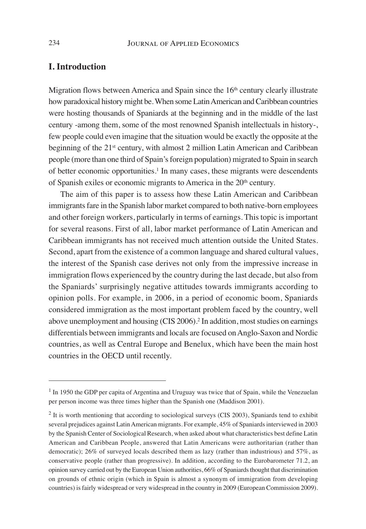## **I. Introduction**

Migration flows between America and Spain since the 16<sup>th</sup> century clearly illustrate how paradoxical history might be. When some Latin American and Caribbean countries were hosting thousands of Spaniards at the beginning and in the middle of the last century -among them, some of the most renowned Spanish intellectuals in history-, few people could even imagine that the situation would be exactly the opposite at the beginning of the 21<sup>st</sup> century, with almost 2 million Latin American and Caribbean people (more than one third of Spain's foreign population) migrated to Spain in search of better economic opportunities.<sup>1</sup> In many cases, these migrants were descendents of Spanish exiles or economic migrants to America in the 20<sup>th</sup> century.

The aim of this paper is to assess how these Latin American and Caribbean immigrants fare in the Spanish labor market compared to both native-born employees and other foreign workers, particularly in terms of earnings. This topic is important for several reasons. First of all, labor market performance of Latin American and Caribbean immigrants has not received much attention outside the United States. Second, apart from the existence of a common language and shared cultural values, the interest of the Spanish case derives not only from the impressive increase in immigration flows experienced by the country during the last decade, but also from the Spaniards' surprisingly negative attitudes towards immigrants according to opinion polls. For example, in 2006, in a period of economic boom, Spaniards considered immigration as the most important problem faced by the country, well above unemployment and housing (CIS 2006).2 In addition, most studies on earnings differentials between immigrants and locals are focused on Anglo-Saxon and Nordic countries, as well as Central Europe and Benelux, which have been the main host countries in the OECD until recently.

<sup>&</sup>lt;sup>1</sup> In 1950 the GDP per capita of Argentina and Uruguay was twice that of Spain, while the Venezuelan per person income was three times higher than the Spanish one (Maddison 2001).

<sup>2</sup> It is worth mentioning that according to sociological surveys (CIS 2003), Spaniards tend to exhibit several prejudices against Latin American migrants. For example, 45% of Spaniards interviewed in 2003 by the Spanish Center of Sociological Research, when asked about what characteristics best define Latin American and Caribbean People, answered that Latin Americans were authoritarian (rather than democratic); 26% of surveyed locals described them as lazy (rather than industrious) and 57%, as conservative people (rather than progressive). In addition, according to the Eurobarometer 71.2, an opinion survey carried out by the European Union authorities, 66% of Spaniards thought that discrimination on grounds of ethnic origin (which in Spain is almost a synonym of immigration from developing countries) is fairly widespread or very widespread in the country in 2009 (European Commission 2009).